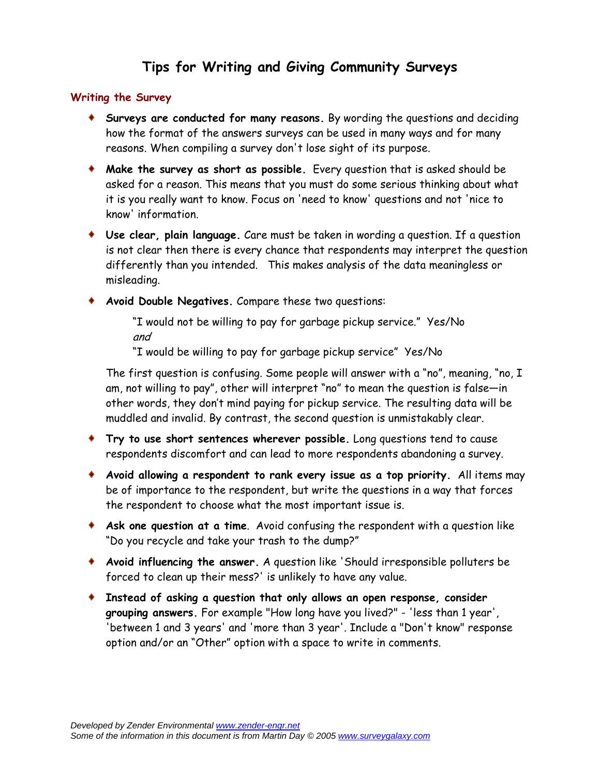## **Tips for Writing and Giving Community Surveys**

## **Writing the Survey**

- **Surveys are conducted for many reasons.** By wording the questions and deciding how the format of the answers surveys can be used in many ways and for many reasons. When compiling a survey don't lose sight of its purpose.
- **Make the survey as short as possible.** Every question that is asked should be asked for a reason. This means that you must do some serious thinking about what it is you really want to know. Focus on 'need to know' questions and not 'nice to know' information.
- **Use clear, plain language.** Care must be taken in wording a question. If a question is not clear then there is every chance that respondents may interpret the question differently than you intended. This makes analysis of the data meaningless or misleading.
- **Avoid Double Negatives.** Compare these two questions:

"I would not be willing to pay for garbage pickup service." Yes/No and

"I would be willing to pay for garbage pickup service" Yes/No

The first question is confusing. Some people will answer with a "no", meaning, "no, I am, not willing to pay", other will interpret "no" to mean the question is false—in other words, they don't mind paying for pickup service. The resulting data will be muddled and invalid. By contrast, the second question is unmistakably clear.

- **Try to use short sentences wherever possible.** Long questions tend to cause respondents discomfort and can lead to more respondents abandoning a survey.
- **Avoid allowing a respondent to rank every issue as a top priority.** All items may be of importance to the respondent, but write the questions in a way that forces the respondent to choose what the most important issue is.
- **Ask one question at a time**. Avoid confusing the respondent with a question like "Do you recycle and take your trash to the dump?"
- **Avoid influencing the answer.** A question like 'Should irresponsible polluters be forced to clean up their mess?' is unlikely to have any value.
- **Instead of asking a question that only allows an open response, consider grouping answers.** For example "How long have you lived?" - 'less than 1 year', 'between 1 and 3 years' and 'more than 3 year'. Include a "Don't know" response option and/or an "Other" option with a space to write in comments.